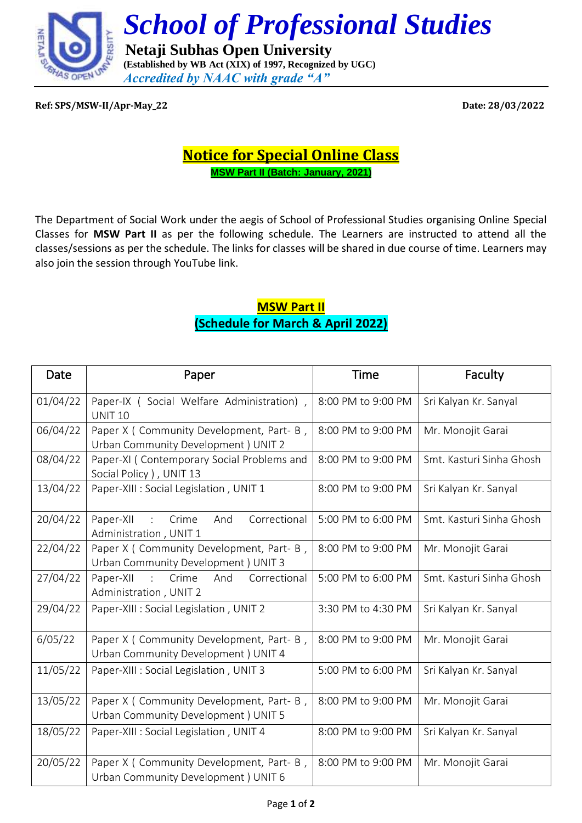

**Ref: SPS/MSW-II/Apr-May\_22 Date: 28/03/2022**

## **Notice for Special Online Class MSW Part II (Batch: January, 2021)**

The Department of Social Work under the aegis of School of Professional Studies organising Online Special Classes for **MSW Part II** as per the following schedule. The Learners are instructed to attend all the classes/sessions as per the schedule. The links for classes will be shared in due course of time. Learners may also join the session through YouTube link.

## **MSW Part II (Schedule for March & April 2022)**

| Date     | Paper                                                                                            | <b>Time</b>        | Faculty                  |
|----------|--------------------------------------------------------------------------------------------------|--------------------|--------------------------|
| 01/04/22 | Paper-IX (Social Welfare Administration),<br><b>UNIT 10</b>                                      | 8:00 PM to 9:00 PM | Sri Kalyan Kr. Sanyal    |
| 06/04/22 | Paper X (Community Development, Part- B,<br>Urban Community Development ) UNIT 2                 | 8:00 PM to 9:00 PM | Mr. Monojit Garai        |
| 08/04/22 | Paper-XI (Contemporary Social Problems and<br>Social Policy ), UNIT 13                           | 8:00 PM to 9:00 PM | Smt. Kasturi Sinha Ghosh |
| 13/04/22 | Paper-XIII : Social Legislation, UNIT 1                                                          | 8:00 PM to 9:00 PM | Sri Kalyan Kr. Sanyal    |
| 20/04/22 | Correctional<br>Crime<br>Paper-XII<br>And<br>$\ddot{\phantom{a}}$<br>Administration, UNIT 1      | 5:00 PM to 6:00 PM | Smt. Kasturi Sinha Ghosh |
| 22/04/22 | Paper X ( Community Development, Part- B,<br>Urban Community Development ) UNIT 3                | 8:00 PM to 9:00 PM | Mr. Monojit Garai        |
| 27/04/22 | Correctional<br>Paper-XII<br>Crime<br>And<br>$\mathbb{R}^{\mathbb{Z}}$<br>Administration, UNIT 2 | 5:00 PM to 6:00 PM | Smt. Kasturi Sinha Ghosh |
| 29/04/22 | Paper-XIII : Social Legislation, UNIT 2                                                          | 3:30 PM to 4:30 PM | Sri Kalyan Kr. Sanyal    |
| 6/05/22  | Paper X (Community Development, Part- B,<br>Urban Community Development ) UNIT 4                 | 8:00 PM to 9:00 PM | Mr. Monojit Garai        |
| 11/05/22 | Paper-XIII : Social Legislation, UNIT 3                                                          | 5:00 PM to 6:00 PM | Sri Kalyan Kr. Sanyal    |
| 13/05/22 | Paper X (Community Development, Part- B,<br>Urban Community Development ) UNIT 5                 | 8:00 PM to 9:00 PM | Mr. Monojit Garai        |
| 18/05/22 | Paper-XIII : Social Legislation, UNIT 4                                                          | 8:00 PM to 9:00 PM | Sri Kalyan Kr. Sanyal    |
| 20/05/22 | Paper X (Community Development, Part- B,<br>Urban Community Development ) UNIT 6                 | 8:00 PM to 9:00 PM | Mr. Monojit Garai        |